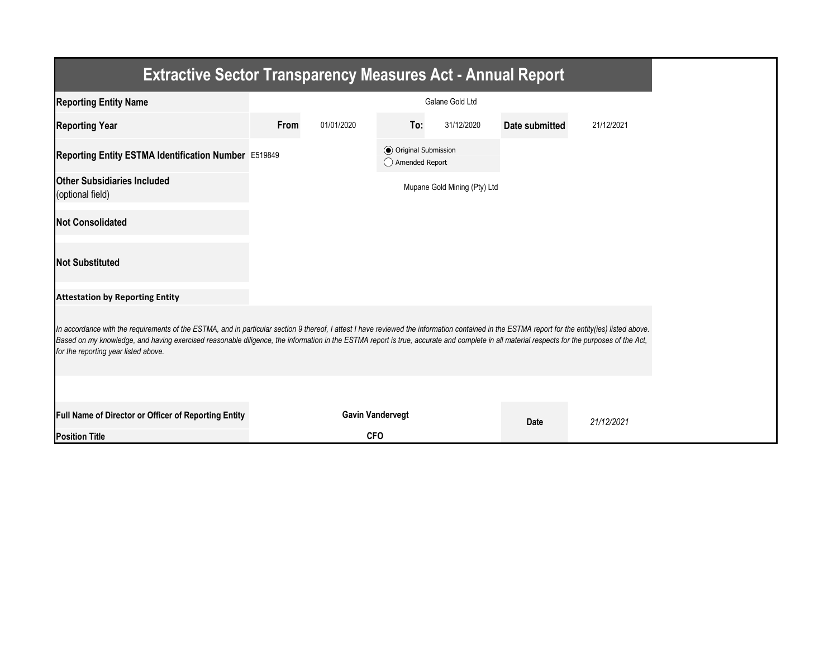| <b>Extractive Sector Transparency Measures Act - Annual Report</b>                                                                                                                                                                                                                                                                                                                                                                    |      |                         |                                                  |                              |                |            |  |
|---------------------------------------------------------------------------------------------------------------------------------------------------------------------------------------------------------------------------------------------------------------------------------------------------------------------------------------------------------------------------------------------------------------------------------------|------|-------------------------|--------------------------------------------------|------------------------------|----------------|------------|--|
| <b>Reporting Entity Name</b>                                                                                                                                                                                                                                                                                                                                                                                                          |      |                         |                                                  | Galane Gold Ltd              |                |            |  |
| <b>Reporting Year</b>                                                                                                                                                                                                                                                                                                                                                                                                                 | From | 01/01/2020              | To:                                              | 31/12/2020                   | Date submitted | 21/12/2021 |  |
| Reporting Entity ESTMA Identification Number E519849                                                                                                                                                                                                                                                                                                                                                                                  |      |                         | <b>●</b> Original Submission<br>◯ Amended Report |                              |                |            |  |
| <b>Other Subsidiaries Included</b><br>(optional field)                                                                                                                                                                                                                                                                                                                                                                                |      |                         |                                                  | Mupane Gold Mining (Pty) Ltd |                |            |  |
| <b>Not Consolidated</b>                                                                                                                                                                                                                                                                                                                                                                                                               |      |                         |                                                  |                              |                |            |  |
| <b>Not Substituted</b>                                                                                                                                                                                                                                                                                                                                                                                                                |      |                         |                                                  |                              |                |            |  |
| <b>Attestation by Reporting Entity</b>                                                                                                                                                                                                                                                                                                                                                                                                |      |                         |                                                  |                              |                |            |  |
| In accordance with the requirements of the ESTMA, and in particular section 9 thereof, I attest I have reviewed the information contained in the ESTMA report for the entity(ies) listed above.<br>Based on my knowledge, and having exercised reasonable diligence, the information in the ESTMA report is true, accurate and complete in all material respects for the purposes of the Act,<br>for the reporting year listed above. |      |                         |                                                  |                              |                |            |  |
|                                                                                                                                                                                                                                                                                                                                                                                                                                       |      |                         |                                                  |                              |                |            |  |
| Full Name of Director or Officer of Reporting Entity                                                                                                                                                                                                                                                                                                                                                                                  |      | <b>Gavin Vandervegt</b> |                                                  |                              | Date           | 21/12/2021 |  |
| <b>Position Title</b>                                                                                                                                                                                                                                                                                                                                                                                                                 |      | <b>CFO</b>              |                                                  |                              |                |            |  |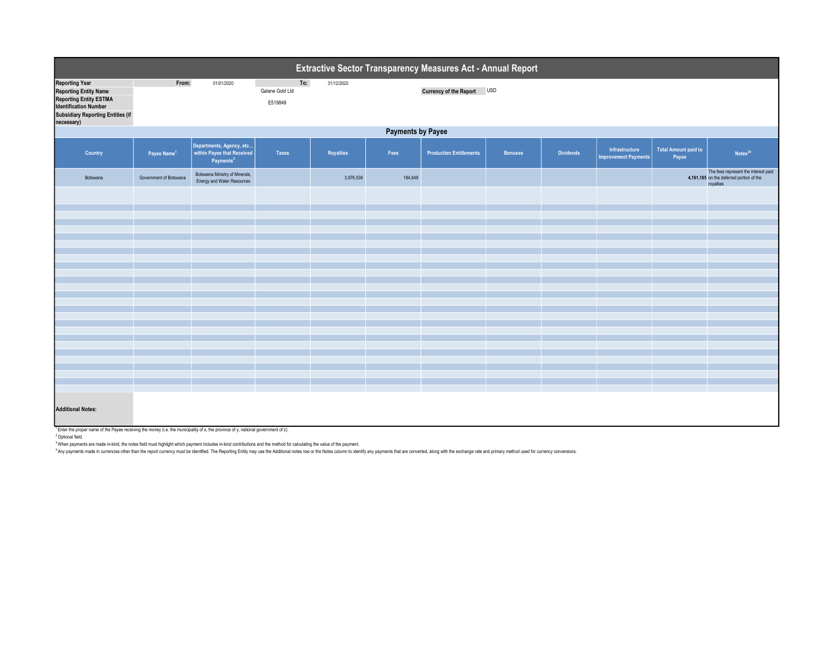| Extractive Sector Transparency Measures Act - Annual Report                                                                                                                      |                          |                                                                                 |                                   |                  |         |                                |                |                  |                                               |                                      |                                                                                               |  |
|----------------------------------------------------------------------------------------------------------------------------------------------------------------------------------|--------------------------|---------------------------------------------------------------------------------|-----------------------------------|------------------|---------|--------------------------------|----------------|------------------|-----------------------------------------------|--------------------------------------|-----------------------------------------------------------------------------------------------|--|
| <b>Reporting Year</b><br><b>Reporting Entity Name</b><br><b>Reporting Entity ESTMA</b><br><b>Identification Number</b><br><b>Subsidiary Reporting Entities (if</b><br>necessary) | From:                    | 01/01/2020                                                                      | To:<br>Galane Gold Ltd<br>E519849 | 31/12/2020       |         | Currency of the Report USD     |                |                  |                                               |                                      |                                                                                               |  |
|                                                                                                                                                                                  | <b>Payments by Payee</b> |                                                                                 |                                   |                  |         |                                |                |                  |                                               |                                      |                                                                                               |  |
| Country                                                                                                                                                                          | Payee Name <sup>1</sup>  | Departments, Agency, etc<br>within Payee that Received<br>Payments <sup>2</sup> | Taxes                             | <b>Royalties</b> | Fees    | <b>Production Entitlements</b> | <b>Bonuses</b> | <b>Dividends</b> | Infrastructure<br><b>Improvement Payments</b> | <b>Total Amount paid to</b><br>Payee | Notes <sup>34</sup>                                                                           |  |
| Botswana                                                                                                                                                                         | Government of Botswana   | Botswana Ministry of Minerals,<br>Energy and Water Resources                    |                                   | 3,976,536        | 184,648 |                                |                |                  |                                               |                                      | The fees represent the interest paid<br>4,161,185 on the deferred portion of the<br>royalties |  |
|                                                                                                                                                                                  |                          |                                                                                 |                                   |                  |         |                                |                |                  |                                               |                                      |                                                                                               |  |
|                                                                                                                                                                                  |                          |                                                                                 |                                   |                  |         |                                |                |                  |                                               |                                      |                                                                                               |  |
|                                                                                                                                                                                  |                          |                                                                                 |                                   |                  |         |                                |                |                  |                                               |                                      |                                                                                               |  |
|                                                                                                                                                                                  |                          |                                                                                 |                                   |                  |         |                                |                |                  |                                               |                                      |                                                                                               |  |
|                                                                                                                                                                                  |                          |                                                                                 |                                   |                  |         |                                |                |                  |                                               |                                      |                                                                                               |  |
|                                                                                                                                                                                  |                          |                                                                                 |                                   |                  |         |                                |                |                  |                                               |                                      |                                                                                               |  |
|                                                                                                                                                                                  |                          |                                                                                 |                                   |                  |         |                                |                |                  |                                               |                                      |                                                                                               |  |
|                                                                                                                                                                                  |                          |                                                                                 |                                   |                  |         |                                |                |                  |                                               |                                      |                                                                                               |  |
|                                                                                                                                                                                  |                          |                                                                                 |                                   |                  |         |                                |                |                  |                                               |                                      |                                                                                               |  |
|                                                                                                                                                                                  |                          |                                                                                 |                                   |                  |         |                                |                |                  |                                               |                                      |                                                                                               |  |
|                                                                                                                                                                                  |                          |                                                                                 |                                   |                  |         |                                |                |                  |                                               |                                      |                                                                                               |  |
|                                                                                                                                                                                  |                          |                                                                                 |                                   |                  |         |                                |                |                  |                                               |                                      |                                                                                               |  |
|                                                                                                                                                                                  |                          |                                                                                 |                                   |                  |         |                                |                |                  |                                               |                                      |                                                                                               |  |
|                                                                                                                                                                                  |                          |                                                                                 |                                   |                  |         |                                |                |                  |                                               |                                      |                                                                                               |  |
|                                                                                                                                                                                  |                          |                                                                                 |                                   |                  |         |                                |                |                  |                                               |                                      |                                                                                               |  |
|                                                                                                                                                                                  |                          |                                                                                 |                                   |                  |         |                                |                |                  |                                               |                                      |                                                                                               |  |
|                                                                                                                                                                                  |                          |                                                                                 |                                   |                  |         |                                |                |                  |                                               |                                      |                                                                                               |  |
|                                                                                                                                                                                  |                          |                                                                                 |                                   |                  |         |                                |                |                  |                                               |                                      |                                                                                               |  |
|                                                                                                                                                                                  |                          |                                                                                 |                                   |                  |         |                                |                |                  |                                               |                                      |                                                                                               |  |
| <b>Additional Notes:</b><br><sup>1</sup> Enter the proper name of the Payee receiving the money (i.e. the municipality of x, the province of y, national government of z).       |                          |                                                                                 |                                   |                  |         |                                |                |                  |                                               |                                      |                                                                                               |  |

<sup>2</sup> Optional field.

<sup>3</sup> When payments are made in-kind, the notes field must highlight which payment includes in-kind contributions and the method for calculating the value of the payment.<br><sup>4</sup> Any payments made in currencies other than the re